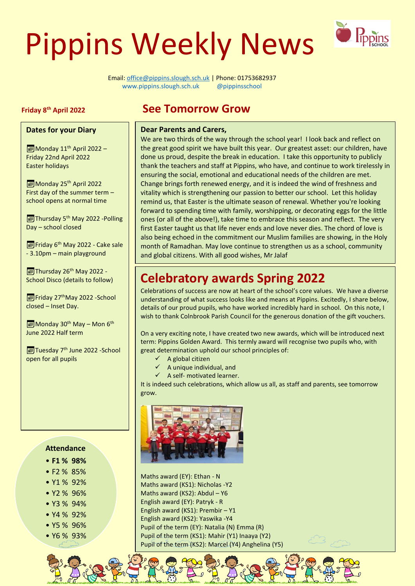# Pippins Weekly News



Email: [office@pippins.slough.sch.uk](mailto:office@pippins.slough.sch.uk) | Phone: 01753682937 [www.pippins.slough.sch.uk](http://www.pippins.slough.sch.uk/) @pippinsschool See Tomorrow Grow

#### **Friday 8**

#### **Dates for your Diary**

Monday 11<sup>th</sup> April 2022 -Friday 22nd April 2022 Easter holidays

Monday 25<sup>th</sup> April 2022 First day of the summer term – school opens at normal time

Thursday 5<sup>th</sup> May 2022 -Polling Day – school closed

Friday 6<sup>th</sup> May 2022 - Cake sale - 3.10pm – main playground

 $\sqrt{2}$ Thursday 26<sup>th</sup> May 2022 -School Disco (details to follow)

Friday 27<sup>th</sup>May 2022 - School closed – Inset Day.

 $\boxed{\blacksquare}$  Monday 30<sup>th</sup> May – Mon 6<sup>th</sup> June 2022 Half term

Tuesday 7<sup>th</sup> June 2022 - School open for all pupils

## **Attendance**

- **F1 % 98%**
- F2 % 85%
- Y1 % 92%
- Y2 % 96%
- Y3 % 94%
- Y4 % 92%
- Y5 % 96%
- Y6 % 93%

# **See Tomorrow Grow**

#### **Dear Parents and Carers,**

We are two thirds of the way through the school year! I look back and reflect on the great good spirit we have built this year. Our greatest asset: our children, have done us proud, despite the break in education. I take this opportunity to publicly thank the teachers and staff at Pippins, who have, and continue to work tirelessly in ensuring the social, emotional and educational needs of the children are met. Change brings forth renewed energy, and it is indeed the wind of freshness and vitality which is strengthening our passion to better our school. Let this holiday remind us, that Easter is the ultimate season of renewal. Whether you're looking forward to spending time with family, worshipping, or decorating eggs for the little ones (or all of the above!), take time to embrace this season and reflect. The very first Easter taught us that life never ends and love never dies. The chord of love is also being echoed in the commitment our Muslim families are showing, in the Holy month of Ramadhan. May love continue to strengthen us as a school, community and global citizens. With all good wishes, Mr Jalaf

# **Celebratory awards Spring 2022**

Celebrations of success are now at heart of the school's core values. We have a diverse understanding of what success looks like and means at Pippins. Excitedly, I share below, details of our proud pupils, who have worked incredibly hard in school. On this note, I wish to thank Colnbrook Parish Council for the generous donation of the gift vouchers.

On a very exciting note, I have created two new awards, which will be introduced next term: Pippins Golden Award. This termly award will recognise two pupils who, with great determination uphold our school principles of:

- $\checkmark$  A global citizen
- $\checkmark$  A unique individual, and
- $\checkmark$  A self- motivated learner.

It is indeed such celebrations, which allow us all, as staff and parents, see tomorrow grow.



 $\overline{1}$ 

Maths award (EY): Ethan - N Maths award (KS1): Nicholas -Y2 Maths award (KS2): Abdul – Y6 English award (EY): Patryk - R English award (KS1): Prembir – Y1 English award (KS2): Yaswika -Y4 Pupil of the term (EY): Natalia (N) Emma (R) Pupil of the term (KS1): Mahir (Y1) Inaaya (Y2) Pupil of the term (KS2): Marcel (Y4) Anghelina (Y5)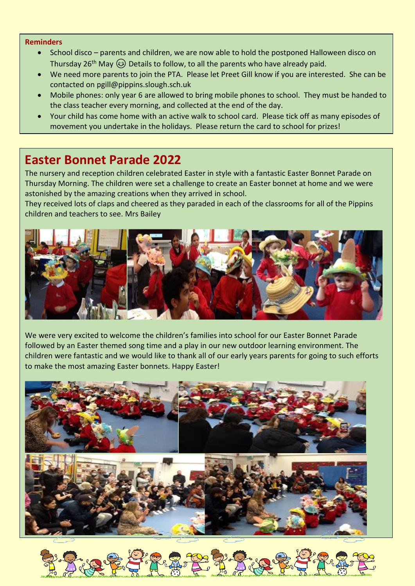#### **Reminders**

- School disco parents and children, we are now able to hold the postponed Halloween disco on Thursday 26<sup>th</sup> May  $\odot$  Details to follow, to all the parents who have already paid.
- We need more parents to join the PTA. Please let Preet Gill know if you are interested. She can be contacted on pgill@pippins.slough.sch.uk
- Mobile phones: only year 6 are allowed to bring mobile phones to school. They must be handed to the class teacher every morning, and collected at the end of the day.
- Your child has come home with an active walk to school card. Please tick off as many episodes of movement you undertake in the holidays. Please return the card to school for prizes!

# **Easter Bonnet Parade 2022**

The nursery and reception children celebrated Easter in style with a fantastic Easter Bonnet Parade on Thursday Morning. The children were set a challenge to create an Easter bonnet at home and we were astonished by the amazing creations when they arrived in school.

They received lots of claps and cheered as they paraded in each of the classrooms for all of the Pippins children and teachers to see. Mrs Bailey



We were very excited to welcome the children's families into school for our Easter Bonnet Parade followed by an Easter themed song time and a play in our new outdoor learning environment. The children were fantastic and we would like to thank all of our early years parents for going to such efforts to make the most amazing Easter bonnets. Happy Easter!